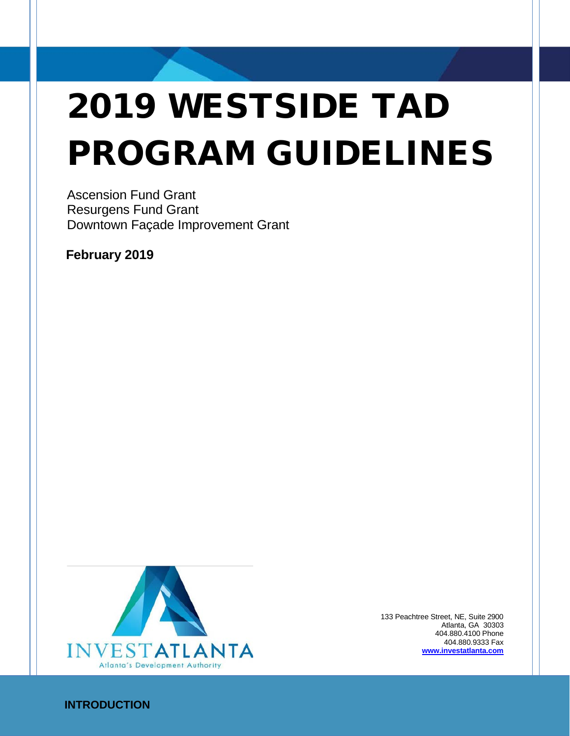# 2019 WESTSIDE TAD PROGRAM GUIDELINES

Ascension Fund Grant Resurgens Fund Grant Downtown Façade Improvement Grant

**February 2019**



133 Peachtree Street, NE, Suite 2900 Atlanta, GA 30303 404.880.4100 Phone 404.880.9333 Fax **[www.investatlanta.com](http://www.investatlant.com/)**

# **INTRODUCTION**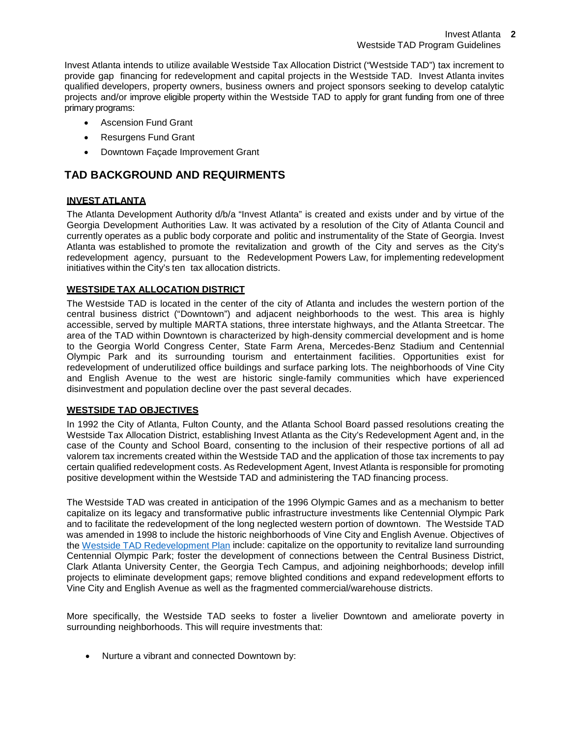Invest Atlanta intends to utilize available Westside Tax Allocation District ("Westside TAD") tax increment to provide gap financing for redevelopment and capital projects in the Westside TAD. Invest Atlanta invites qualified developers, property owners, business owners and project sponsors seeking to develop catalytic projects and/or improve eligible property within the Westside TAD to apply for grant funding from one of three primary programs:

- Ascension Fund Grant
- Resurgens Fund Grant
- Downtown Façade Improvement Grant

# **TAD BACKGROUND AND REQUIRMENTS**

# **INVEST ATLANTA**

The Atlanta Development Authority d/b/a "Invest Atlanta" is created and exists under and by virtue of the Georgia Development Authorities Law. It was activated by a resolution of the City of Atlanta Council and currently operates as a public body corporate and politic and instrumentality of the State of Georgia. Invest Atlanta was established to promote the revitalization and growth of the City and serves as the City's redevelopment agency, pursuant to the Redevelopment Powers Law, for implementing redevelopment initiatives within the City's ten tax allocation districts.

# **WESTSIDE TAX ALLOCATION DISTRICT**

The Westside TAD is located in the center of the city of Atlanta and includes the western portion of the central business district ("Downtown") and adjacent neighborhoods to the west. This area is highly accessible, served by multiple MARTA stations, three interstate highways, and the Atlanta Streetcar. The area of the TAD within Downtown is characterized by high-density commercial development and is home to the Georgia World Congress Center, State Farm Arena, Mercedes-Benz Stadium and Centennial Olympic Park and its surrounding tourism and entertainment facilities. Opportunities exist for redevelopment of underutilized office buildings and surface parking lots. The neighborhoods of Vine City and English Avenue to the west are historic single-family communities which have experienced disinvestment and population decline over the past several decades.

# **WESTSIDE TAD OBJECTIVES**

In 1992 the City of Atlanta, Fulton County, and the Atlanta School Board passed resolutions creating the Westside Tax Allocation District, establishing Invest Atlanta as the City's Redevelopment Agent and, in the case of the County and School Board, consenting to the inclusion of their respective portions of all ad valorem tax increments created within the Westside TAD and the application of those tax increments to pay certain qualified redevelopment costs. As Redevelopment Agent, Invest Atlanta is responsible for promoting positive development within the Westside TAD and administering the TAD financing process.

The Westside TAD was created in anticipation of the 1996 Olympic Games and as a mechanism to better capitalize on its legacy and transformative public infrastructure investments like Centennial Olympic Park and to facilitate the redevelopment of the long neglected western portion of downtown. The Westside TAD was amended in 1998 to include the historic neighborhoods of Vine City and English Avenue. Objectives of the [Westside TAD Redevelopment Plan](http://demo.investatlanta.com/BusinessDevelopmentIA/wp-content/uploads/2013/06/WestsideRedevelopmentPlan.pdf) include: capitalize on the opportunity to revitalize land surrounding Centennial Olympic Park; foster the development of connections between the Central Business District, Clark Atlanta University Center, the Georgia Tech Campus, and adjoining neighborhoods; develop infill projects to eliminate development gaps; remove blighted conditions and expand redevelopment efforts to Vine City and English Avenue as well as the fragmented commercial/warehouse districts.

More specifically, the Westside TAD seeks to foster a livelier Downtown and ameliorate poverty in surrounding neighborhoods. This will require investments that:

• Nurture a vibrant and connected Downtown by: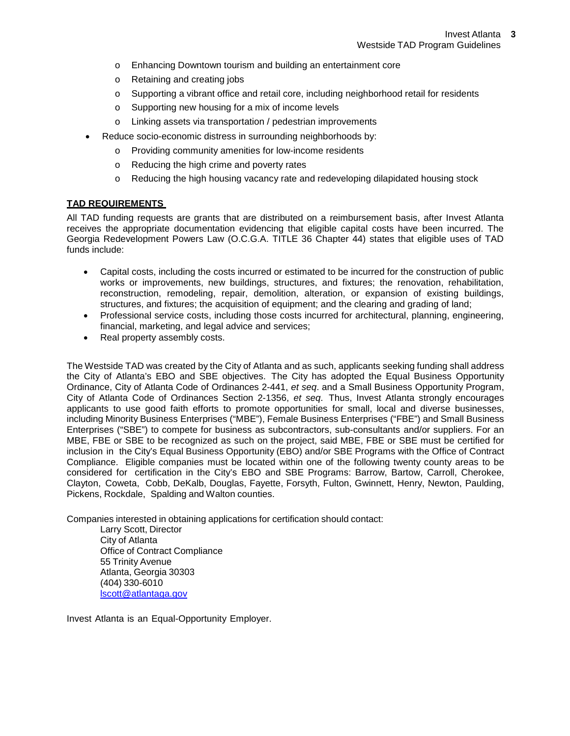- o Enhancing Downtown tourism and building an entertainment core
- o Retaining and creating jobs
- o Supporting a vibrant office and retail core, including neighborhood retail for residents
- o Supporting new housing for a mix of income levels
- o Linking assets via transportation / pedestrian improvements
- Reduce socio-economic distress in surrounding neighborhoods by:
	- o Providing community amenities for low-income residents
	- o Reducing the high crime and poverty rates
	- o Reducing the high housing vacancy rate and redeveloping dilapidated housing stock

# **TAD REQUIREMENTS**

All TAD funding requests are grants that are distributed on a reimbursement basis, after Invest Atlanta receives the appropriate documentation evidencing that eligible capital costs have been incurred. The Georgia Redevelopment Powers Law [\(O.C.G.A. TITLE 36 Chapter 44\)](http://web.lexisnexis.com/research/xlink?app=00075&view=full&interface=1&docinfo=off&searchtype=get&search=O.C.G.A.%2BTITLE%2B36%2BChapter%2B44) states that eligible uses of TAD funds include:

- Capital costs, including the costs incurred or estimated to be incurred for the construction of public works or improvements, new buildings, structures, and fixtures; the renovation, rehabilitation, reconstruction, remodeling, repair, demolition, alteration, or expansion of existing buildings, structures, and fixtures; the acquisition of equipment; and the clearing and grading of land;
- Professional service costs, including those costs incurred for architectural, planning, engineering, financial, marketing, and legal advice and services;
- Real property assembly costs.

The Westside TAD was created by the City of Atlanta and as such, applicants seeking funding shall address the City of Atlanta's EBO and SBE objectives. The City has adopted the Equal Business Opportunity Ordinance, City of Atlanta Code of Ordinances 2-441, *et seq*. and a Small Business Opportunity Program, City of Atlanta Code of Ordinances Section 2-1356, *et seq*. Thus, Invest Atlanta strongly encourages applicants to use good faith efforts to promote opportunities for small, local and diverse businesses, including Minority Business Enterprises ("MBE"), Female Business Enterprises ("FBE") and Small Business Enterprises ("SBE") to compete for business as subcontractors, sub-consultants and/or suppliers. For an MBE, FBE or SBE to be recognized as such on the project, said MBE, FBE or SBE must be certified for inclusion in the City's Equal Business Opportunity (EBO) and/or SBE Programs with the Office of Contract Compliance. Eligible companies must be located within one of the following twenty county areas to be considered for certification in the City's EBO and SBE Programs: Barrow, Bartow, Carroll, Cherokee, Clayton, Coweta, Cobb, DeKalb, Douglas, Fayette, Forsyth, Fulton, Gwinnett, Henry, Newton, Paulding, Pickens, Rockdale, Spalding and Walton counties.

Companies interested in obtaining applications for certification should contact:

Larry Scott, Director City of Atlanta Office of Contract Compliance 55 Trinity Avenue Atlanta, Georgia 30303 (404) 330-6010 [lscott@atlantaga.gov](mailto:howens@atlantaga.gov)

Invest Atlanta is an Equal-Opportunity Employer.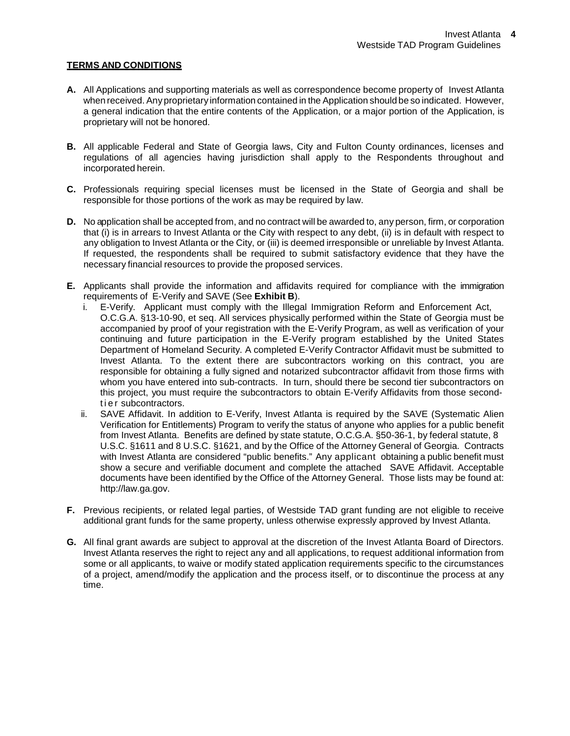# **TERMS AND CONDITIONS**

- **A.** All Applications and supporting materials as well as correspondence become property of Invest Atlanta when received. Anyproprietary information contained in the Application should be so indicated. However, a general indication that the entire contents of the Application, or a major portion of the Application, is proprietary will not be honored.
- **B.** All applicable Federal and State of Georgia laws, City and Fulton County ordinances, licenses and regulations of all agencies having jurisdiction shall apply to the Respondents throughout and incorporated herein.
- **C.** Professionals requiring special licenses must be licensed in the State of Georgia and shall be responsible for those portions of the work as may be required by law.
- **D.** No application shall be accepted from, and no contract will be awarded to, any person, firm, or corporation that (i) is in arrears to Invest Atlanta or the City with respect to any debt, (ii) is in default with respect to any obligation to Invest Atlanta or the City, or (iii) is deemed irresponsible or unreliable by Invest Atlanta. If requested, the respondents shall be required to submit satisfactory evidence that they have the necessary financial resources to provide the proposed services.
- **E.** Applicants shall provide the information and affidavits required for compliance with the immigration requirements of E-Verify and SAVE (See **Exhibit B**).
	- i. E-Verify. Applicant must comply with the Illegal Immigration Reform and Enforcement Act, O.C.G.A. §13-10-90, et seq. All services physically performed within the State of Georgia must be accompanied by proof of your registration with the E-Verify Program, as well as verification of your continuing and future participation in the E-Verify program established by the United States Department of Homeland Security. A completed E-Verify Contractor Affidavit must be submitted to Invest Atlanta. To the extent there are subcontractors working on this contract, you are responsible for obtaining a fully signed and notarized subcontractor affidavit from those firms with whom you have entered into sub-contracts. In turn, should there be second tier subcontractors on this project, you must require the subcontractors to obtain E-Verify Affidavits from those secondtier subcontractors.
	- ii. SAVE Affidavit. In addition to E-Verify, Invest Atlanta is required by the SAVE (Systematic Alien Verification for Entitlements) Program to verify the status of anyone who applies for a public benefit from Invest Atlanta. Benefits are defined by state statute, O.C.G.A. §50-36-1, by federal statute, 8 U.S.C. §1611 and 8 U.S.C. §1621, and by the Office of the Attorney General of Georgia. Contracts with Invest Atlanta are considered "public benefits." Any applicant obtaining a public benefit must show a secure and verifiable document and complete the attached SAVE Affidavit. Acceptable documents have been identified by the Office of the Attorney General. Those lists may be found at: [http://law.ga.gov.](http://law.ga.gov/)
- **F.** Previous recipients, or related legal parties, of Westside TAD grant funding are not eligible to receive additional grant funds for the same property, unless otherwise expressly approved by Invest Atlanta.
- **G.** All final grant awards are subject to approval at the discretion of the Invest Atlanta Board of Directors. Invest Atlanta reserves the right to reject any and all applications, to request additional information from some or all applicants, to waive or modify stated application requirements specific to the circumstances of a project, amend/modify the application and the process itself, or to discontinue the process at any time.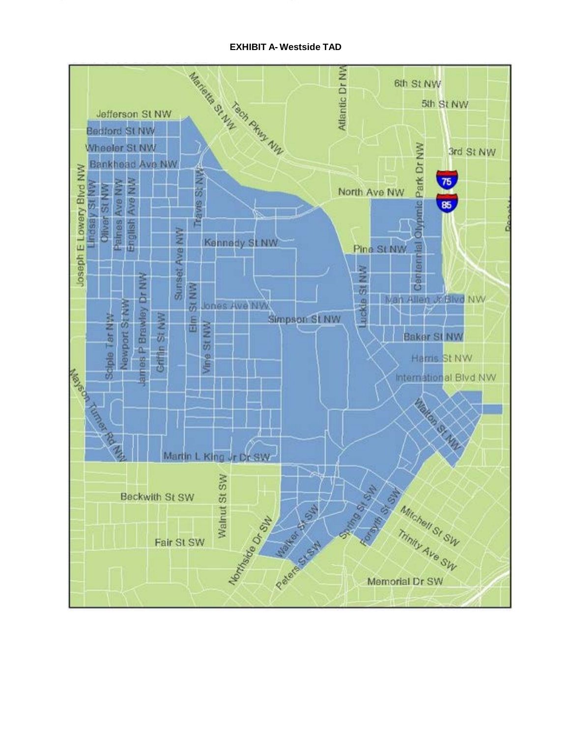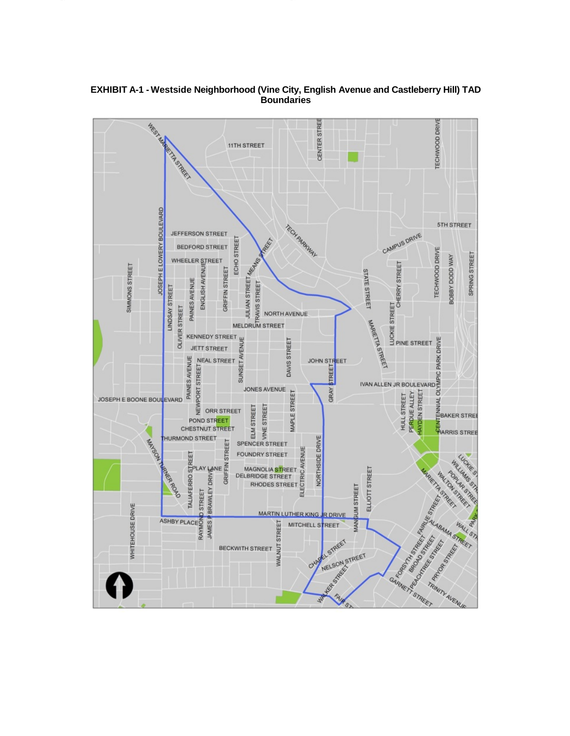

**EXHIBIT A-1 - Westside Neighborhood (Vine City, English Avenue and Castleberry Hill) TAD Boundaries**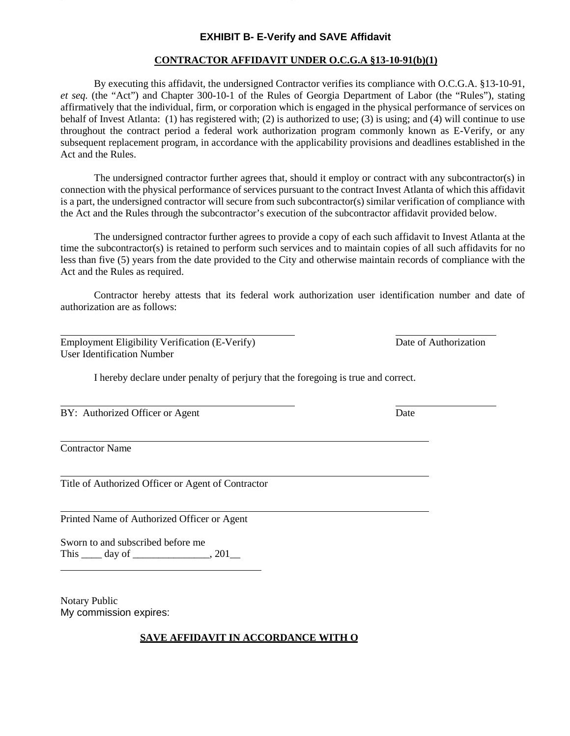# **EXHIBIT B- E-Verify and SAVE Affidavit**

# **CONTRACTOR AFFIDAVIT UNDER O.C.G.A §13-10-91(b)(1)**

By executing this affidavit, the undersigned Contractor verifies its compliance with O.C.G.A. §13-10-91, *et seq.* (the "Act") and Chapter 300-10-1 of the Rules of Georgia Department of Labor (the "Rules"), stating affirmatively that the individual, firm, or corporation which is engaged in the physical performance of services on behalf of Invest Atlanta: (1) has registered with; (2) is authorized to use; (3) is using; and (4) will continue to use throughout the contract period a federal work authorization program commonly known as E-Verify, or any subsequent replacement program, in accordance with the applicability provisions and deadlines established in the Act and the Rules.

The undersigned contractor further agrees that, should it employ or contract with any subcontractor(s) in connection with the physical performance of services pursuant to the contract Invest Atlanta of which this affidavit is a part, the undersigned contractor will secure from such subcontractor(s) similar verification of compliance with the Act and the Rules through the subcontractor's execution of the subcontractor affidavit provided below.

The undersigned contractor further agrees to provide a copy of each such affidavit to Invest Atlanta at the time the subcontractor(s) is retained to perform such services and to maintain copies of all such affidavits for no less than five (5) years from the date provided to the City and otherwise maintain records of compliance with the Act and the Rules as required.

Contractor hereby attests that its federal work authorization user identification number and date of authorization are as follows:

Employment Eligibility Verification (E-Verify) Date of Authorization User Identification Number

I hereby declare under penalty of perjury that the foregoing is true and correct.

BY: Authorized Officer or Agent Date

Contractor Name

Title of Authorized Officer or Agent of Contractor

Printed Name of Authorized Officer or Agent

Sworn to and subscribed before me This \_\_\_\_ day of \_\_\_\_\_\_\_\_\_\_\_\_\_\_\_, 201\_\_

Notary Public My commission expires:

# **SAVE AFFIDAVIT IN ACCORDANCE WITH O.**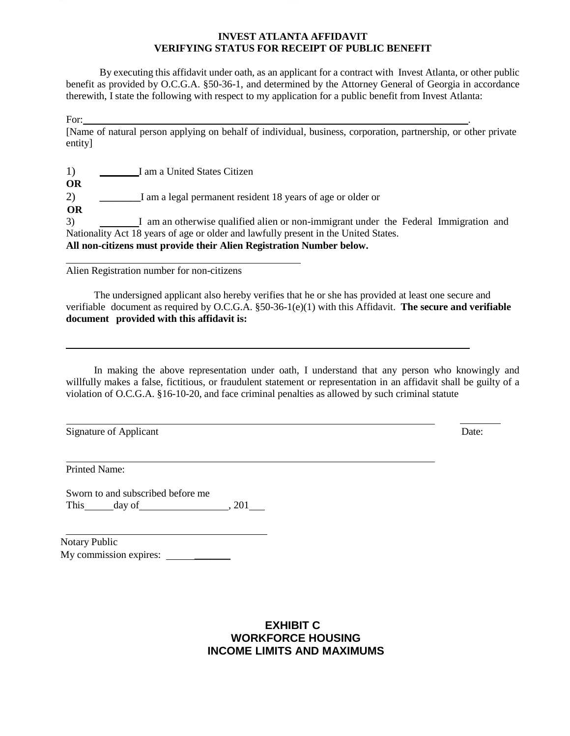# **INVEST ATLANTA AFFIDAVIT VERIFYING STATUS FOR RECEIPT OF PUBLIC BENEFIT**

By executing this affidavit under oath, as an applicant for a contract with Invest Atlanta, or other public benefit as provided by O.C.G.A. §50-36-1, and determined by the Attorney General of Georgia in accordance therewith, I state the following with respect to my application for a public benefit from Invest Atlanta:

For: .

[Name of natural person applying on behalf of individual, business, corporation, partnership, or other private entity]

1) I am a United States Citizen

**OR**

2) **\_\_\_\_\_\_\_\_**I am a legal permanent resident 18 years of age or older or

**OR**

3) I am an otherwise qualified alien or non-immigrant under the Federal Immigration and Nationality Act 18 years of age or older and lawfully present in the United States. **All non-citizens must provide their Alien Registration Number below.**

Alien Registration number for non-citizens

The undersigned applicant also hereby verifies that he or she has provided at least one secure and verifiable document as required by O.C.G.A. §50-36-1(e)(1) with this Affidavit. **The secure and verifiable document provided with this affidavit is:**

In making the above representation under oath, I understand that any person who knowingly and willfully makes a false, fictitious, or fraudulent statement or representation in an affidavit shall be guilty of a violation of O.C.G.A. §16-10-20, and face criminal penalties as allowed by such criminal statute

Signature of Applicant Date:

Printed Name:

Sworn to and subscribed before me This day of 1201

Notary Public My commission expires: \_\_\_\_\_\_\_

# **EXHIBIT C WORKFORCE HOUSING INCOME LIMITS AND MAXIMUMS**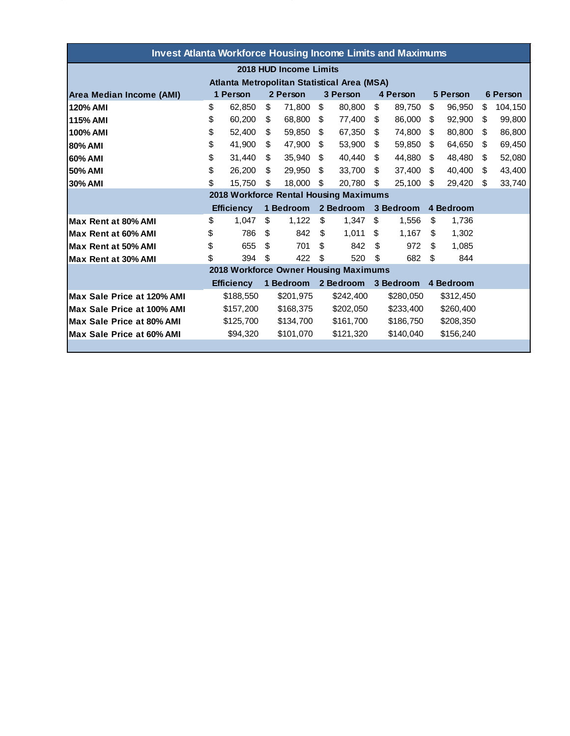| <b>Invest Atlanta Workforce Housing Income Limits and Maximums</b> |                   |           |           |           |           |           |           |           |           |           |          |         |
|--------------------------------------------------------------------|-------------------|-----------|-----------|-----------|-----------|-----------|-----------|-----------|-----------|-----------|----------|---------|
| 2018 HUD Income Limits                                             |                   |           |           |           |           |           |           |           |           |           |          |         |
| Atlanta Metropolitan Statistical Area (MSA)                        |                   |           |           |           |           |           |           |           |           |           |          |         |
| Area Median Income (AMI)                                           | 1 Person          |           | 2 Person  |           | 3 Person  |           | 4 Person  |           | 5 Person  |           | 6 Person |         |
| 120% AMI                                                           | \$                | 62.850    | \$        | 71,800    | \$        | 80.800    | \$        | 89,750    | \$        | 96,950    | \$       | 104,150 |
| <b>115% AMI</b>                                                    | \$                | 60.200    | \$        | 68,800    | \$        | 77,400    | \$        | 86,000    | \$        | 92,900    | \$       | 99,800  |
| 100% AMI                                                           | \$                | 52,400    | \$        | 59,850    | \$        | 67,350    | \$        | 74,800    | \$        | 80,800    | \$       | 86,800  |
| <b>80% AMI</b>                                                     | \$                | 41.900    | \$        | 47,900    | \$        | 53.900    | \$        | 59,850    | \$        | 64.650    | \$       | 69,450  |
| 60% AMI                                                            | \$                | 31.440    | \$        | 35.940    | \$        | 40.440    | \$        | 44.880    | \$        | 48.480    | \$       | 52,080  |
| 50% AMI                                                            | \$                | 26,200    | \$        | 29.950    | \$        | 33.700    | \$        | 37,400    | \$        | 40.400    | \$       | 43,400  |
| <b>30% AMI</b>                                                     | \$                | 15,750    | \$        | 18.000    | \$        | 20,780    | \$        | 25,100    | \$        | 29,420    | \$       | 33,740  |
| 2018 Workforce Rental Housing Maximums                             |                   |           |           |           |           |           |           |           |           |           |          |         |
|                                                                    | <b>Efficiency</b> |           | 1 Bedroom |           | 2 Bedroom |           | 3 Bedroom |           | 4 Bedroom |           |          |         |
| Max Rent at 80% AMI                                                | \$                | 1.047     | \$        | 1,122     | \$        | 1.347     | \$        | 1.556     | \$        | 1.736     |          |         |
| Max Rent at 60% AMI                                                | \$                | 786       | \$        | 842       | \$        | 1.011     | \$        | 1,167     | \$        | 1,302     |          |         |
| Max Rent at 50% AMI                                                | \$                | 655       | \$        | 701       | \$        | 842       | \$        | 972       | \$        | 1,085     |          |         |
| Max Rent at 30% AMI                                                | \$                | 394       | \$        | 422       | \$        | 520       | \$        | 682       | \$        | 844       |          |         |
| 2018 Workforce Owner Housing Maximums                              |                   |           |           |           |           |           |           |           |           |           |          |         |
|                                                                    | <b>Efficiency</b> |           | 1 Bedroom |           | 2 Bedroom |           | 3 Bedroom |           | 4 Bedroom |           |          |         |
| Max Sale Price at 120% AMI                                         |                   | \$188,550 |           | \$201,975 |           | \$242,400 |           | \$280,050 |           | \$312,450 |          |         |
| Max Sale Price at 100% AMI                                         |                   | \$157,200 |           | \$168,375 |           | \$202,050 |           | \$233,400 |           | \$260,400 |          |         |
| Max Sale Price at 80% AMI                                          | \$125,700         |           |           | \$134,700 |           | \$161,700 |           | \$186,750 |           | \$208,350 |          |         |
| Max Sale Price at 60% AMI                                          |                   | \$94,320  |           | \$101,070 |           | \$121,320 |           | \$140.040 |           | \$156,240 |          |         |
|                                                                    |                   |           |           |           |           |           |           |           |           |           |          |         |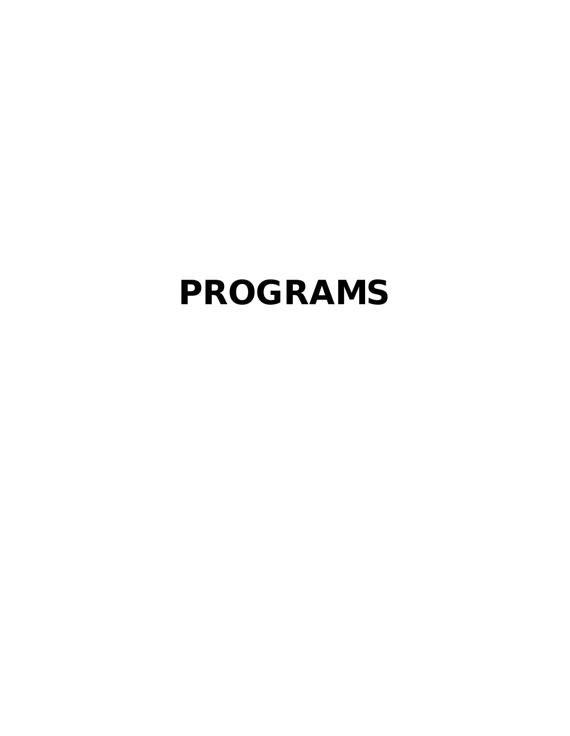# PROGRAMS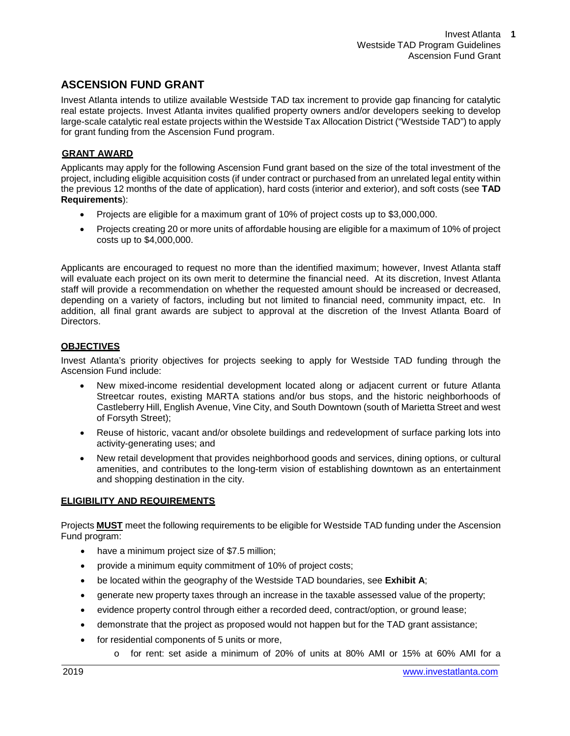# **ASCENSION FUND GRANT**

Invest Atlanta intends to utilize available Westside TAD tax increment to provide gap financing for catalytic real estate projects. Invest Atlanta invites qualified property owners and/or developers seeking to develop large-scale catalytic real estate projects within the Westside Tax Allocation District ("Westside TAD") to apply for grant funding from the Ascension Fund program.

# **GRANT AWARD**

Applicants may apply for the following Ascension Fund grant based on the size of the total investment of the project, including eligible acquisition costs (if under contract or purchased from an unrelated legal entity within the previous 12 months of the date of application), hard costs (interior and exterior), and soft costs (see **TAD Requirements**):

- Projects are eligible for a maximum grant of 10% of project costs up to \$3,000,000.
- Projects creating 20 or more units of affordable housing are eligible for a maximum of 10% of project costs up to \$4,000,000.

Applicants are encouraged to request no more than the identified maximum; however, Invest Atlanta staff will evaluate each project on its own merit to determine the financial need. At its discretion, Invest Atlanta staff will provide a recommendation on whether the requested amount should be increased or decreased, depending on a variety of factors, including but not limited to financial need, community impact, etc. In addition, all final grant awards are subject to approval at the discretion of the Invest Atlanta Board of Directors.

# **OBJECTIVES**

Invest Atlanta's priority objectives for projects seeking to apply for Westside TAD funding through the Ascension Fund include:

- New mixed-income residential development located along or adjacent current or future Atlanta Streetcar routes, existing MARTA stations and/or bus stops, and the historic neighborhoods of Castleberry Hill, English Avenue, Vine City, and South Downtown (south of Marietta Street and west of Forsyth Street);
- Reuse of historic, vacant and/or obsolete buildings and redevelopment of surface parking lots into activity-generating uses; and
- New retail development that provides neighborhood goods and services, dining options, or cultural amenities, and contributes to the long-term vision of establishing downtown as an entertainment and shopping destination in the city.

# **ELIGIBILITY AND REQUIREMENTS**

Projects **MUST** meet the following requirements to be eligible for Westside TAD funding under the Ascension Fund program:

- have a minimum project size of \$7.5 million;
- provide a minimum equity commitment of 10% of project costs;
- be located within the geography of the Westside TAD boundaries, see **Exhibit A**;
- generate new property taxes through an increase in the taxable assessed value of the property;
- evidence property control through either a recorded deed, contract/option, or ground lease;
- demonstrate that the project as proposed would not happen but for the TAD grant assistance;
- for residential components of 5 units or more,
	- o for rent: set aside a minimum of 20% of units at 80% AMI or 15% at 60% AMI for a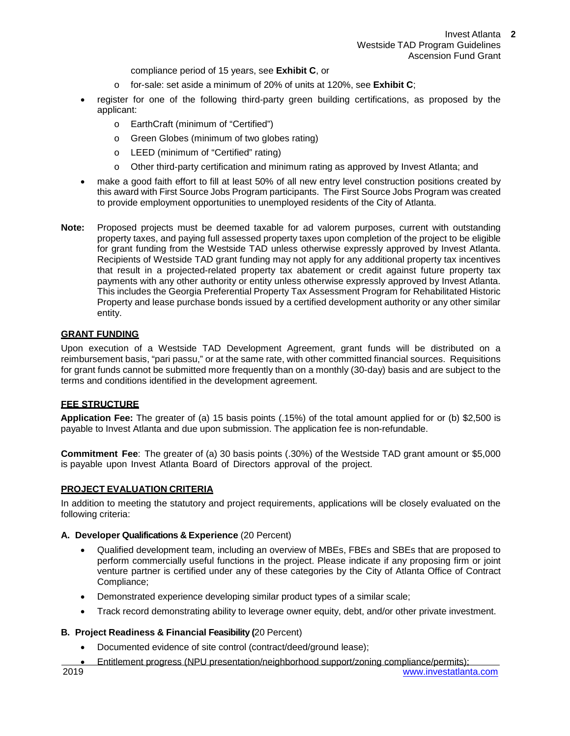compliance period of 15 years, see **Exhibit C**, or

- o for-sale: set aside a minimum of 20% of units at 120%, see **Exhibit C**;
- register for one of the following third-party green building certifications, as proposed by the applicant:
	- o EarthCraft (minimum of "Certified")
	- o Green Globes (minimum of two globes rating)
	- o LEED (minimum of "Certified" rating)
	- o Other third-party certification and minimum rating as approved by Invest Atlanta; and
- make a good faith effort to fill at least 50% of all new entry level construction positions created by this award with First Source Jobs Program participants. The First Source Jobs Program was created to provide employment opportunities to unemployed residents of the City of Atlanta.
- **Note:** Proposed projects must be deemed taxable for ad valorem purposes, current with outstanding property taxes, and paying full assessed property taxes upon completion of the project to be eligible for grant funding from the Westside TAD unless otherwise expressly approved by Invest Atlanta. Recipients of Westside TAD grant funding may not apply for any additional property tax incentives that result in a projected-related property tax abatement or credit against future property tax payments with any other authority or entity unless otherwise expressly approved by Invest Atlanta. This includes the Georgia Preferential Property Tax Assessment Program for Rehabilitated Historic Property and lease purchase bonds issued by a certified development authority or any other similar entity.

# **GRANT FUNDING**

Upon execution of a Westside TAD Development Agreement, grant funds will be distributed on a reimbursement basis, "pari passu," or at the same rate, with other committed financial sources. Requisitions for grant funds cannot be submitted more frequently than on a monthly (30-day) basis and are subject to the terms and conditions identified in the development agreement.

# **FEE STRUCTURE**

**Application Fee:** The greater of (a) 15 basis points (.15%) of the total amount applied for or (b) \$2,500 is payable to Invest Atlanta and due upon submission. The application fee is non-refundable.

**Commitment Fee**: The greater of (a) 30 basis points (.30%) of the Westside TAD grant amount or \$5,000 is payable upon Invest Atlanta Board of Directors approval of the project.

# **PROJECT EVALUATION CRITERIA**

In addition to meeting the statutory and project requirements, applications will be closely evaluated on the following criteria:

# **A. Developer Qualifications & Experience** (20 Percent)

- Qualified development team, including an overview of MBEs, FBEs and SBEs that are proposed to perform commercially useful functions in the project. Please indicate if any proposing firm or joint venture partner is certified under any of these categories by the City of Atlanta Office of Contract Compliance;
- Demonstrated experience developing similar product types of a similar scale;
- Track record demonstrating ability to leverage owner equity, debt, and/or other private investment.

# **B. Project Readiness & Financial Feasibility (**20 Percent)

- Documented evidence of site control (contract/deed/ground lease);
- 2019 [www.investatlanta.com](http://www.investatlanta.com/) • Entitlement progress (NPU presentation/neighborhood support/zoning compliance/permits);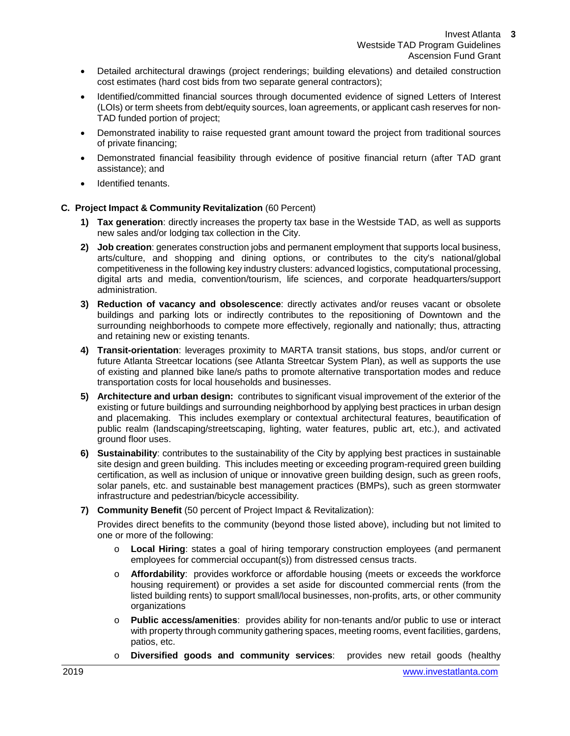- Detailed architectural drawings (project renderings; building elevations) and detailed construction cost estimates (hard cost bids from two separate general contractors);
- Identified/committed financial sources through documented evidence of signed Letters of Interest (LOIs) or term sheets from debt/equity sources, loan agreements, or applicant cash reserves for non-TAD funded portion of project;
- Demonstrated inability to raise requested grant amount toward the project from traditional sources of private financing;
- Demonstrated financial feasibility through evidence of positive financial return (after TAD grant assistance); and
- Identified tenants.

# **C. Project Impact & Community Revitalization** (60 Percent)

- **1) Tax generation**: directly increases the property tax base in the Westside TAD, as well as supports new sales and/or lodging tax collection in the City.
- **2) Job creation**: generates construction jobs and permanent employment that supports local business, arts/culture, and shopping and dining options, or contributes to the city's national/global competitiveness in the following key industry clusters: advanced logistics, computational processing, digital arts and media, convention/tourism, life sciences, and corporate headquarters/support administration.
- **3) Reduction of vacancy and obsolescence**: directly activates and/or reuses vacant or obsolete buildings and parking lots or indirectly contributes to the repositioning of Downtown and the surrounding neighborhoods to compete more effectively, regionally and nationally; thus, attracting and retaining new or existing tenants.
- **4) Transit-orientation**: leverages proximity to MARTA transit stations, bus stops, and/or current or future Atlanta Streetcar locations (see [Atlanta Streetcar System Plan\),](http://beltline.org/about/resources/streetcar-system-plan/) as well as supports the use of existing and planned bike lane/s paths to promote alternative transportation modes and reduce transportation costs for local households and businesses.
- **5) Architecture and urban design:** contributes to significant visual improvement of the exterior of the existing or future buildings and surrounding neighborhood by applying best practices in urban design and placemaking. This includes exemplary or contextual architectural features, beautification of public realm (landscaping/streetscaping, lighting, water features, public art, etc.), and activated ground floor uses.
- **6) Sustainability**: contributes to the sustainability of the City by applying best practices in sustainable site design and green building. This includes meeting or exceeding program-required green building certification, as well as inclusion of unique or innovative green building design, such as green roofs, solar panels, etc. and sustainable best management practices (BMPs), such as green stormwater infrastructure and pedestrian/bicycle accessibility.
- **7) Community Benefit** (50 percent of Project Impact & Revitalization):

Provides direct benefits to the community (beyond those listed above), including but not limited to one or more of the following:

- o **Local Hiring**: states a goal of hiring temporary construction employees (and permanent employees for commercial occupant(s)) from distressed census tracts.
- o **Affordability**: provides workforce or affordable housing (meets or exceeds the workforce housing requirement) or provides a set aside for discounted commercial rents (from the listed building rents) to support small/local businesses, non-profits, arts, or other community organizations
- o **Public access/amenities**: provides ability for non-tenants and/or public to use or interact with property through community gathering spaces, meeting rooms, event facilities, gardens, patios, etc.
- o **Diversified goods and community services**: provides new retail goods (healthy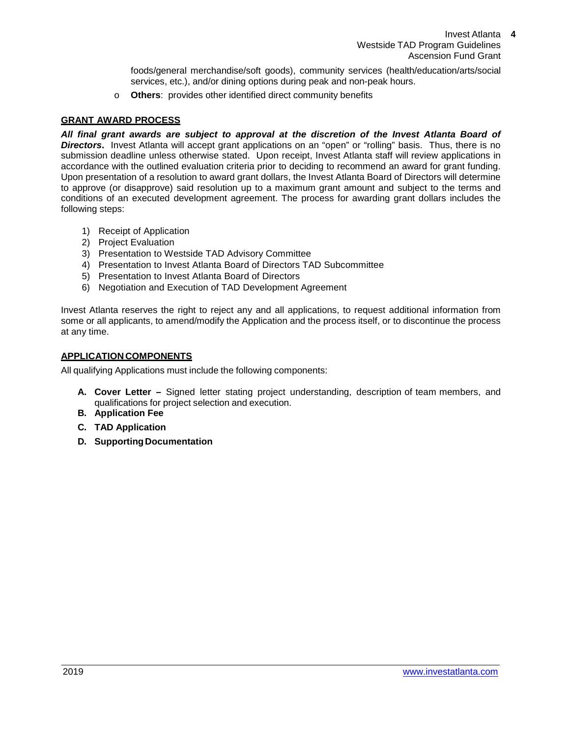foods/general merchandise/soft goods), community services (health/education/arts/social services, etc.), and/or dining options during peak and non-peak hours.

o **Others**: provides other identified direct community benefits

# **GRANT AWARD PROCESS**

*All final grant awards are subject to approval at the discretion of the Invest Atlanta Board of*  **Directors.** Invest Atlanta will accept grant applications on an "open" or "rolling" basis. Thus, there is no submission deadline unless otherwise stated. Upon receipt, Invest Atlanta staff will review applications in accordance with the outlined evaluation criteria prior to deciding to recommend an award for grant funding. Upon presentation of a resolution to award grant dollars, the Invest Atlanta Board of Directors will determine to approve (or disapprove) said resolution up to a maximum grant amount and subject to the terms and conditions of an executed development agreement. The process for awarding grant dollars includes the following steps:

- 1) Receipt of Application
- 2) Project Evaluation
- 3) Presentation to Westside TAD Advisory Committee
- 4) Presentation to Invest Atlanta Board of Directors TAD Subcommittee
- 5) Presentation to Invest Atlanta Board of Directors
- 6) Negotiation and Execution of TAD Development Agreement

Invest Atlanta reserves the right to reject any and all applications, to request additional information from some or all applicants, to amend/modify the Application and the process itself, or to discontinue the process at any time.

# **APPLICATION COMPONENTS**

All qualifying Applications must include the following components:

- **A. Cover Letter –** Signed letter stating project understanding, description of team members, and qualifications for project selection and execution.
- **B. Application Fee**
- **C. TAD Application**
- **D. Supporting Documentation**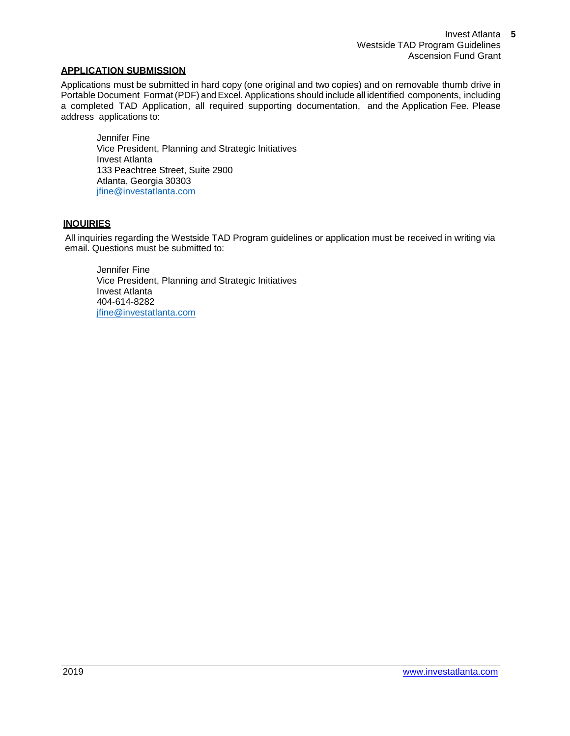# **APPLICATION SUBMISSION**

Applications must be submitted in hard copy (one original and two copies) and on removable thumb drive in Portable Document Format(PDF) andExcel. Applications should include all identified components, including a completed TAD Application, all required supporting documentation, and the Application Fee. Please address applications to:

Jennifer Fine Vice President, Planning and Strategic Initiatives Invest Atlanta 133 Peachtree Street, Suite 2900 Atlanta, Georgia 30303 [jfine@investatlanta.com](mailto:jfine@investatlanta.com)

# **INQUIRIES**

All inquiries regarding the Westside TAD Program guidelines or application must be received in writing via email. Questions must be submitted to:

Jennifer Fine Vice President, Planning and Strategic Initiatives Invest Atlanta 404-614-8282 [jfine@investatlanta.com](mailto:jfine@investatlanta.com)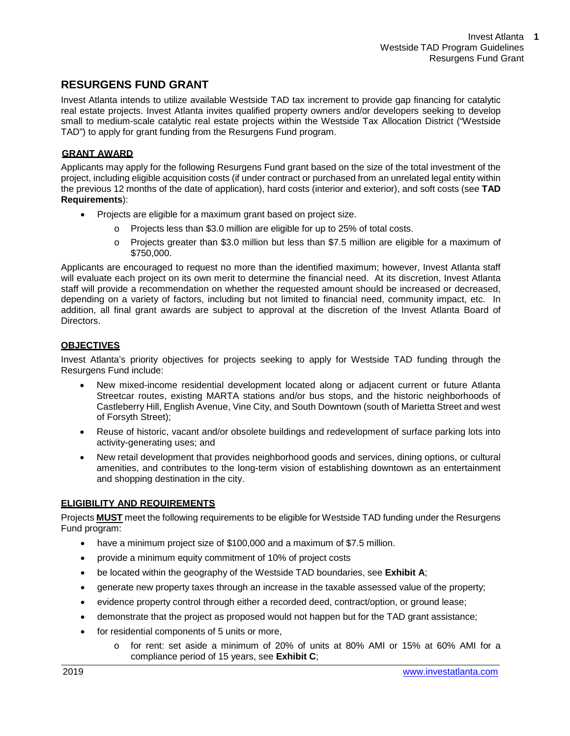# **RESURGENS FUND GRANT**

Invest Atlanta intends to utilize available Westside TAD tax increment to provide gap financing for catalytic real estate projects. Invest Atlanta invites qualified property owners and/or developers seeking to develop small to medium-scale catalytic real estate projects within the Westside Tax Allocation District ("Westside TAD") to apply for grant funding from the Resurgens Fund program.

# **GRANT AWARD**

Applicants may apply for the following Resurgens Fund grant based on the size of the total investment of the project, including eligible acquisition costs (if under contract or purchased from an unrelated legal entity within the previous 12 months of the date of application), hard costs (interior and exterior), and soft costs (see **TAD Requirements**):

- Projects are eligible for a maximum grant based on project size.
	- o Projects less than \$3.0 million are eligible for up to 25% of total costs.
	- o Projects greater than \$3.0 million but less than \$7.5 million are eligible for a maximum of \$750,000.

Applicants are encouraged to request no more than the identified maximum; however, Invest Atlanta staff will evaluate each project on its own merit to determine the financial need. At its discretion, Invest Atlanta staff will provide a recommendation on whether the requested amount should be increased or decreased, depending on a variety of factors, including but not limited to financial need, community impact, etc. In addition, all final grant awards are subject to approval at the discretion of the Invest Atlanta Board of Directors.

# **OBJECTIVES**

Invest Atlanta's priority objectives for projects seeking to apply for Westside TAD funding through the Resurgens Fund include:

- New mixed-income residential development located along or adjacent current or future Atlanta Streetcar routes, existing MARTA stations and/or bus stops, and the historic neighborhoods of Castleberry Hill, English Avenue, Vine City, and South Downtown (south of Marietta Street and west of Forsyth Street);
- Reuse of historic, vacant and/or obsolete buildings and redevelopment of surface parking lots into activity-generating uses; and
- New retail development that provides neighborhood goods and services, dining options, or cultural amenities, and contributes to the long-term vision of establishing downtown as an entertainment and shopping destination in the city.

# **ELIGIBILITY AND REQUIREMENTS**

Projects **MUST** meet the following requirements to be eligible for Westside TAD funding under the Resurgens Fund program:

- have a minimum project size of \$100,000 and a maximum of \$7.5 million.
- provide a minimum equity commitment of 10% of project costs
- be located within the geography of the Westside TAD boundaries, see **Exhibit A**;
- generate new property taxes through an increase in the taxable assessed value of the property;
- evidence property control through either a recorded deed, contract/option, or ground lease;
- demonstrate that the project as proposed would not happen but for the TAD grant assistance;
- for residential components of 5 units or more,
	- o for rent: set aside a minimum of 20% of units at 80% AMI or 15% at 60% AMI for a compliance period of 15 years, see **Exhibit C**;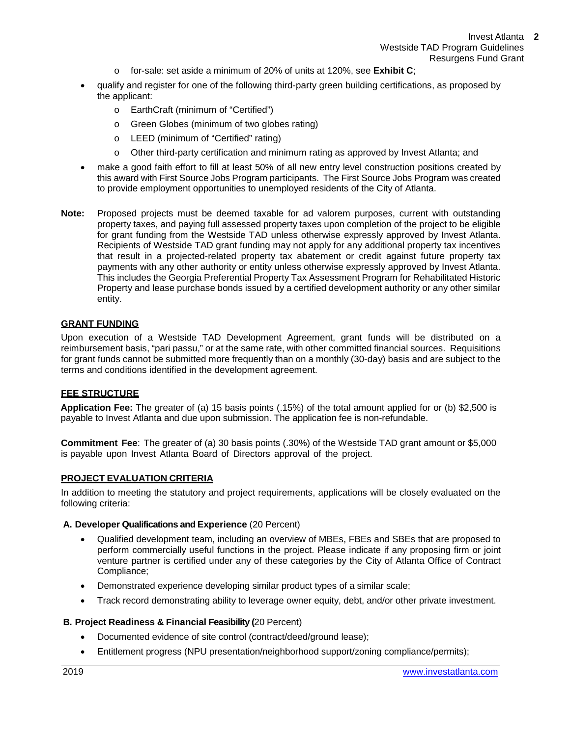- o for-sale: set aside a minimum of 20% of units at 120%, see **Exhibit C**;
- qualify and register for one of the following third-party green building certifications, as proposed by the applicant:
	- o EarthCraft (minimum of "Certified")
	- o Green Globes (minimum of two globes rating)
	- o LEED (minimum of "Certified" rating)
	- o Other third-party certification and minimum rating as approved by Invest Atlanta; and
- make a good faith effort to fill at least 50% of all new entry level construction positions created by this award with First Source Jobs Program participants. The First Source Jobs Program was created to provide employment opportunities to unemployed residents of the City of Atlanta.
- **Note:** Proposed projects must be deemed taxable for ad valorem purposes, current with outstanding property taxes, and paying full assessed property taxes upon completion of the project to be eligible for grant funding from the Westside TAD unless otherwise expressly approved by Invest Atlanta. Recipients of Westside TAD grant funding may not apply for any additional property tax incentives that result in a projected-related property tax abatement or credit against future property tax payments with any other authority or entity unless otherwise expressly approved by Invest Atlanta. This includes the Georgia Preferential Property Tax Assessment Program for Rehabilitated Historic Property and lease purchase bonds issued by a certified development authority or any other similar entity.

# **GRANT FUNDING**

Upon execution of a Westside TAD Development Agreement, grant funds will be distributed on a reimbursement basis, "pari passu," or at the same rate, with other committed financial sources. Requisitions for grant funds cannot be submitted more frequently than on a monthly (30-day) basis and are subject to the terms and conditions identified in the development agreement.

# **FEE STRUCTURE**

**Application Fee:** The greater of (a) 15 basis points (.15%) of the total amount applied for or (b) \$2,500 is payable to Invest Atlanta and due upon submission. The application fee is non-refundable.

**Commitment Fee**: The greater of (a) 30 basis points (.30%) of the Westside TAD grant amount or \$5,000 is payable upon Invest Atlanta Board of Directors approval of the project.

# **PROJECT EVALUATION CRITERIA**

In addition to meeting the statutory and project requirements, applications will be closely evaluated on the following criteria:

#### **A. Developer Qualifications and Experience** (20 Percent)

- Qualified development team, including an overview of MBEs, FBEs and SBEs that are proposed to perform commercially useful functions in the project. Please indicate if any proposing firm or joint venture partner is certified under any of these categories by the City of Atlanta Office of Contract Compliance;
- Demonstrated experience developing similar product types of a similar scale;
- Track record demonstrating ability to leverage owner equity, debt, and/or other private investment.

# **B. Project Readiness & Financial Feasibility (**20 Percent)

- Documented evidence of site control (contract/deed/ground lease);
- Entitlement progress (NPU presentation/neighborhood support/zoning compliance/permits);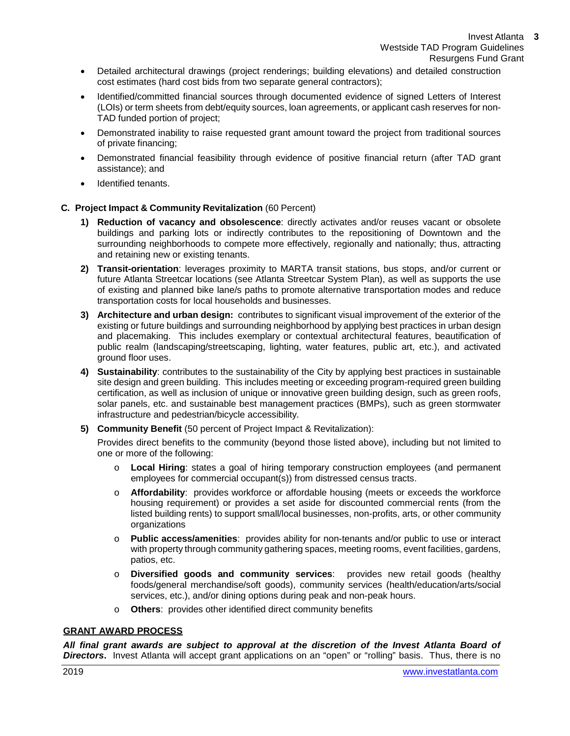- Detailed architectural drawings (project renderings; building elevations) and detailed construction cost estimates (hard cost bids from two separate general contractors);
- Identified/committed financial sources through documented evidence of signed Letters of Interest (LOIs) or term sheets from debt/equity sources, loan agreements, or applicant cash reserves for non-TAD funded portion of project;
- Demonstrated inability to raise requested grant amount toward the project from traditional sources of private financing;
- Demonstrated financial feasibility through evidence of positive financial return (after TAD grant assistance); and
- Identified tenants.

# **C. Project Impact & Community Revitalization** (60 Percent)

- **1) Reduction of vacancy and obsolescence**: directly activates and/or reuses vacant or obsolete buildings and parking lots or indirectly contributes to the repositioning of Downtown and the surrounding neighborhoods to compete more effectively, regionally and nationally; thus, attracting and retaining new or existing tenants.
- **2) Transit-orientation**: leverages proximity to MARTA transit stations, bus stops, and/or current or future Atlanta Streetcar locations (see [Atlanta Streetcar System Plan\),](http://beltline.org/about/resources/streetcar-system-plan/) as well as supports the use of existing and planned bike lane/s paths to promote alternative transportation modes and reduce transportation costs for local households and businesses.
- **3) Architecture and urban design:** contributes to significant visual improvement of the exterior of the existing or future buildings and surrounding neighborhood by applying best practices in urban design and placemaking. This includes exemplary or contextual architectural features, beautification of public realm (landscaping/streetscaping, lighting, water features, public art, etc.), and activated ground floor uses.
- **4) Sustainability**: contributes to the sustainability of the City by applying best practices in sustainable site design and green building. This includes meeting or exceeding program-required green building certification, as well as inclusion of unique or innovative green building design, such as green roofs, solar panels, etc. and sustainable best management practices (BMPs), such as green stormwater infrastructure and pedestrian/bicycle accessibility.
- **5) Community Benefit** (50 percent of Project Impact & Revitalization):

Provides direct benefits to the community (beyond those listed above), including but not limited to one or more of the following:

- o **Local Hiring**: states a goal of hiring temporary construction employees (and permanent employees for commercial occupant(s)) from distressed census tracts.
- o **Affordability**: provides workforce or affordable housing (meets or exceeds the workforce housing requirement) or provides a set aside for discounted commercial rents (from the listed building rents) to support small/local businesses, non-profits, arts, or other community organizations
- o **Public access/amenities**: provides ability for non-tenants and/or public to use or interact with property through community gathering spaces, meeting rooms, event facilities, gardens, patios, etc.
- o **Diversified goods and community services**: provides new retail goods (healthy foods/general merchandise/soft goods), community services (health/education/arts/social services, etc.), and/or dining options during peak and non-peak hours.
- o **Others**: provides other identified direct community benefits

# **GRANT AWARD PROCESS**

*All final grant awards are subject to approval at the discretion of the Invest Atlanta Board of Directors***.** Invest Atlanta will accept grant applications on an "open" or "rolling" basis. Thus, there is no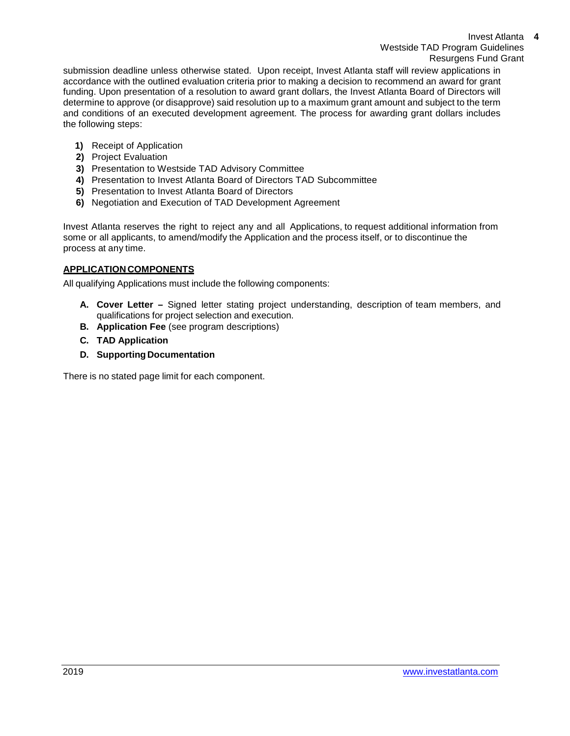Invest Atlanta **4** Westside TAD Program Guidelines Resurgens Fund Grant

submission deadline unless otherwise stated. Upon receipt, Invest Atlanta staff will review applications in accordance with the outlined evaluation criteria prior to making a decision to recommend an award for grant funding. Upon presentation of a resolution to award grant dollars, the Invest Atlanta Board of Directors will determine to approve (or disapprove) said resolution up to a maximum grant amount and subject to the term and conditions of an executed development agreement. The process for awarding grant dollars includes the following steps:

- **1)** Receipt of Application
- **2)** Project Evaluation
- **3)** Presentation to Westside TAD Advisory Committee
- **4)** Presentation to Invest Atlanta Board of Directors TAD Subcommittee
- **5)** Presentation to Invest Atlanta Board of Directors
- **6)** Negotiation and Execution of TAD Development Agreement

Invest Atlanta reserves the right to reject any and all Applications, to request additional information from some or all applicants, to amend/modify the Application and the process itself, or to discontinue the process at any time.

# **APPLICATION COMPONENTS**

All qualifying Applications must include the following components:

- **A. Cover Letter –** Signed letter stating project understanding, description of team members, and qualifications for project selection and execution.
- **B. Application Fee** (see program descriptions)
- **C. TAD Application**
- **D. Supporting Documentation**

There is no stated page limit for each component.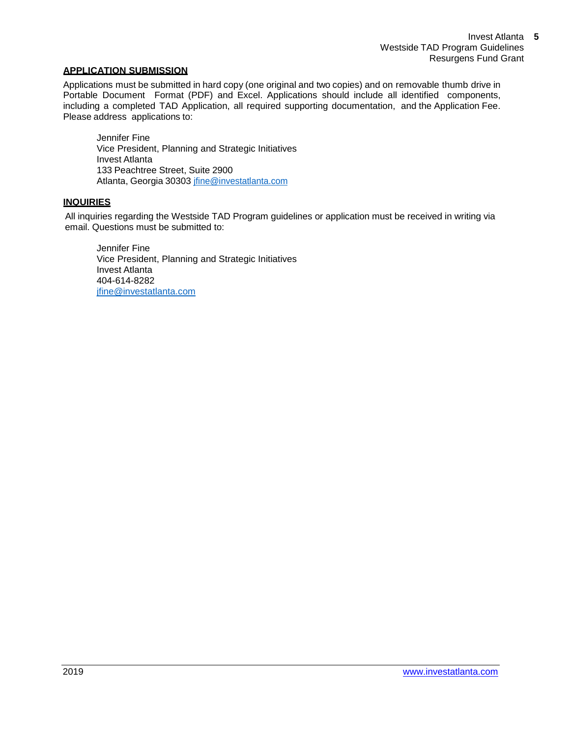# **APPLICATION SUBMISSION**

Applications must be submitted in hard copy (one original and two copies) and on removable thumb drive in Portable Document Format (PDF) and Excel. Applications should include all identified components, including a completed TAD Application, all required supporting documentation, and the Application Fee. Please address applications to:

Jennifer Fine Vice President, Planning and Strategic Initiatives Invest Atlanta 133 Peachtree Street, Suite 2900 Atlanta, Georgia 30303 [jfine@investatlanta.com](mailto:jfine@investatlanta.com)

# **INQUIRIES**

All inquiries regarding the Westside TAD Program guidelines or application must be received in writing via email. Questions must be submitted to:

Jennifer Fine Vice President, Planning and Strategic Initiatives Invest Atlanta 404-614-8282 [jfine@investatlanta.com](mailto:jfine@investatlanta.com)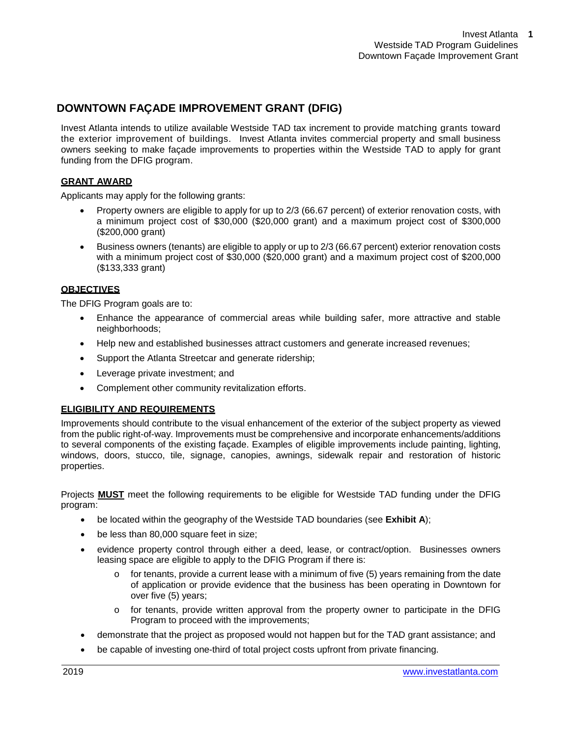# **DOWNTOWN FAÇADE IMPROVEMENT GRANT (DFIG)**

Invest Atlanta intends to utilize available Westside TAD tax increment to provide matching grants toward the exterior improvement of buildings. Invest Atlanta invites commercial property and small business owners seeking to make façade improvements to properties within the Westside TAD to apply for grant funding from the DFIG program.

# **GRANT AWARD**

Applicants may apply for the following grants:

- Property owners are eligible to apply for up to 2/3 (66.67 percent) of exterior renovation costs, with a minimum project cost of \$30,000 (\$20,000 grant) and a maximum project cost of \$300,000 (\$200,000 grant)
- Business owners (tenants) are eligible to apply or up to 2/3 (66.67 percent) exterior renovation costs with a minimum project cost of \$30,000 (\$20,000 grant) and a maximum project cost of \$200,000 (\$133,333 grant)

# **OBJECTIVES**

The DFIG Program goals are to:

- Enhance the appearance of commercial areas while building safer, more attractive and stable neighborhoods;
- Help new and established businesses attract customers and generate increased revenues;
- Support the Atlanta Streetcar and generate ridership;
- Leverage private investment; and
- Complement other community revitalization efforts.

# **ELIGIBILITY AND REQUIREMENTS**

Improvements should contribute to the visual enhancement of the exterior of the subject property as viewed from the public right-of-way. Improvements must be comprehensive and incorporate enhancements/additions to several components of the existing façade. Examples of eligible improvements include painting, lighting, windows, doors, stucco, tile, signage, canopies, awnings, sidewalk repair and restoration of historic properties.

Projects **MUST** meet the following requirements to be eligible for Westside TAD funding under the DFIG program:

- be located within the geography of the Westside TAD boundaries (see **Exhibit A**);
- be less than 80,000 square feet in size;
- evidence property control through either a deed, lease, or contract/option. Businesses owners leasing space are eligible to apply to the DFIG Program if there is:
	- $\circ$  for tenants, provide a current lease with a minimum of five (5) years remaining from the date of application or provide evidence that the business has been operating in Downtown for over five (5) years;
	- o for tenants, provide written approval from the property owner to participate in the DFIG Program to proceed with the improvements;
- demonstrate that the project as proposed would not happen but for the TAD grant assistance; and
- be capable of investing one-third of total project costs upfront from private financing.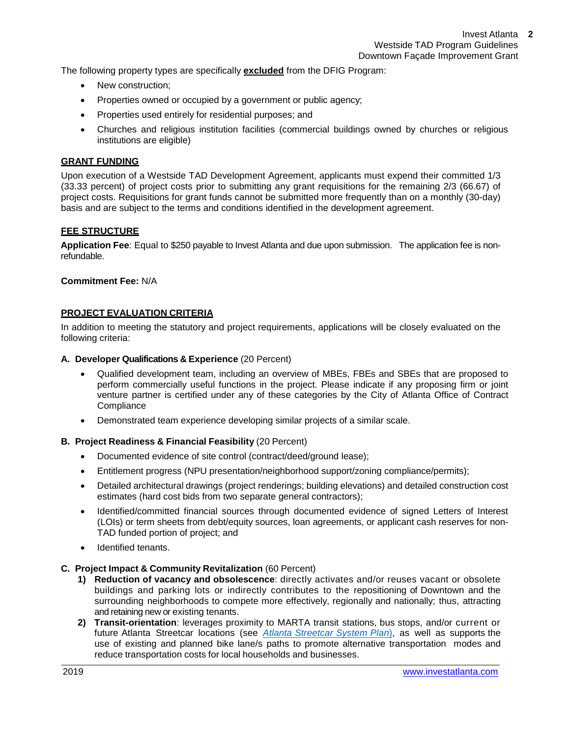The following property types are specifically **excluded** from the DFIG Program:

- New construction;
- Properties owned or occupied by a government or public agency;
- Properties used entirely for residential purposes; and
- Churches and religious institution facilities (commercial buildings owned by churches or religious institutions are eligible)

# **GRANT FUNDING**

Upon execution of a Westside TAD Development Agreement, applicants must expend their committed 1/3 (33.33 percent) of project costs prior to submitting any grant requisitions for the remaining 2/3 (66.67) of project costs. Requisitions for grant funds cannot be submitted more frequently than on a monthly (30-day) basis and are subject to the terms and conditions identified in the development agreement.

# **FEE STRUCTURE**

**Application Fee**: Equal to \$250 payable to Invest Atlanta and due upon submission. The application fee is nonrefundable.

# **Commitment Fee:** N/A

# **PROJECT EVALUATION CRITERIA**

In addition to meeting the statutory and project requirements, applications will be closely evaluated on the following criteria:

#### **A. Developer Qualifications & Experience** (20 Percent)

- Qualified development team, including an overview of MBEs, FBEs and SBEs that are proposed to perform commercially useful functions in the project. Please indicate if any proposing firm or joint venture partner is certified under any of these categories by the City of Atlanta Office of Contract **Compliance**
- Demonstrated team experience developing similar projects of a similar scale.

# **B. Project Readiness & Financial Feasibility** (20 Percent)

- Documented evidence of site control (contract/deed/ground lease);
- Entitlement progress (NPU presentation/neighborhood support/zoning compliance/permits);
- Detailed architectural drawings (project renderings; building elevations) and detailed construction cost estimates (hard cost bids from two separate general contractors);
- Identified/committed financial sources through documented evidence of signed Letters of Interest (LOIs) or term sheets from debt/equity sources, loan agreements, or applicant cash reserves for non-TAD funded portion of project; and
- Identified tenants.

# **C. Project Impact & Community Revitalization** (60 Percent)

- **1) Reduction of vacancy and obsolescence**: directly activates and/or reuses vacant or obsolete buildings and parking lots or indirectly contributes to the repositioning of Downtown and the surrounding neighborhoods to compete more effectively, regionally and nationally; thus, attracting and retaining new or existing tenants.
- **2) Transit-orientation**: leverages proximity to MARTA transit stations, bus stops, and/or current or future Atlanta Streetcar locations (see *Atlanta [Streetcar System Plan](http://beltline.org/about/resources/streetcar-system-plan/)*), as well as supports the use of existing and planned bike lane/s paths to promote alternative transportation modes and reduce transportation costs for local households and businesses.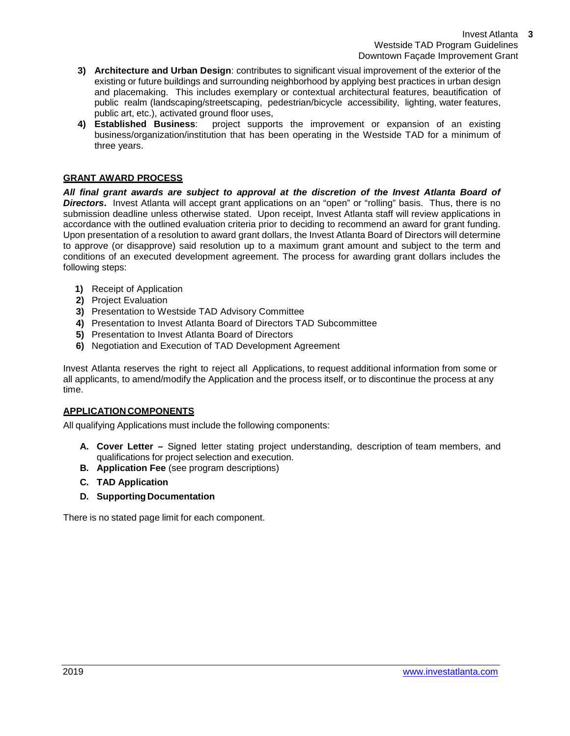- **3) Architecture and Urban Design**: contributes to significant visual improvement of the exterior of the existing or future buildings and surrounding neighborhood by applying best practices in urban design and placemaking. This includes exemplary or contextual architectural features, beautification of public realm (landscaping/streetscaping, pedestrian/bicycle accessibility, lighting, water features, public art, etc.), activated ground floor uses,
- **4) Established Business**: project supports the improvement or expansion of an existing business/organization/institution that has been operating in the Westside TAD for a minimum of three years.

# **GRANT AWARD PROCESS**

*All final grant awards are subject to approval at the discretion of the Invest Atlanta Board of*  **Directors.** Invest Atlanta will accept grant applications on an "open" or "rolling" basis. Thus, there is no submission deadline unless otherwise stated. Upon receipt, Invest Atlanta staff will review applications in accordance with the outlined evaluation criteria prior to deciding to recommend an award for grant funding. Upon presentation of a resolution to award grant dollars, the Invest Atlanta Board of Directors will determine to approve (or disapprove) said resolution up to a maximum grant amount and subject to the term and conditions of an executed development agreement. The process for awarding grant dollars includes the following steps:

- **1)** Receipt of Application
- **2)** Project Evaluation
- **3)** Presentation to Westside TAD Advisory Committee
- **4)** Presentation to Invest Atlanta Board of Directors TAD Subcommittee
- **5)** Presentation to Invest Atlanta Board of Directors
- **6)** Negotiation and Execution of TAD Development Agreement

Invest Atlanta reserves the right to reject all Applications, to request additional information from some or all applicants, to amend/modify the Application and the process itself, or to discontinue the process at any time.

# **APPLICATION COMPONENTS**

All qualifying Applications must include the following components:

- **A. Cover Letter –** Signed letter stating project understanding, description of team members, and qualifications for project selection and execution.
- **B. Application Fee** (see program descriptions)
- **C. TAD Application**
- **D. Supporting Documentation**

There is no stated page limit for each component.